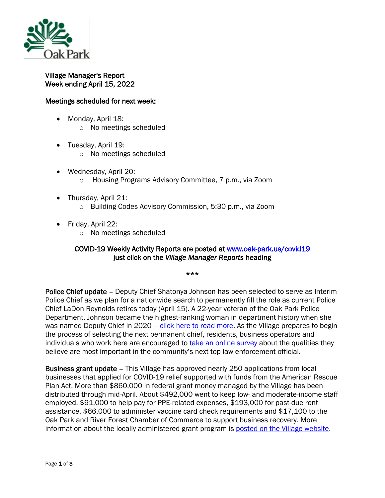

## Village Manager's Report Week ending April 15, 2022

## Meetings scheduled for next week:

- Monday, April 18: o No meetings scheduled
- Tuesday, April 19:
	- o No meetings scheduled
- Wednesday, April 20: o Housing Programs Advisory Committee, 7 p.m., via Zoom
- Thursday, April 21:
	- o Building Codes Advisory Commission, 5:30 p.m., via Zoom
- Friday, April 22:
	- o No meetings scheduled

## COVID-19 Weekly Activity Reports are posted at www.oak-park.us/covid19 just click on the *Village Manager Reports* heading

\*\*\*

Police Chief update – Deputy Chief Shatonya Johnson has been selected to serve as Interim Police Chief as we plan for a nationwide search to permanently fill the role as current Police Chief LaDon Reynolds retires today (April 15). A 22-year veteran of the Oak Park Police Department, Johnson became the highest-ranking woman in department history when she was named Deputy Chief in 2020 – [click here to read](https://www.oak-park.us/news/village-announces-interim-police-chief) more. As the Village prepares to begin the process of selecting the next permanent chief, residents, business operators and individuals who work here are encouraged to [take an online survey](https://docs.google.com/forms/d/e/1FAIpQLSeLfE1pdH2fc4S2T3moTZoKX02dAxQjqAJrtVOluHJIZo4mvw/viewform) about the qualities they believe are most important in the community's next top law enforcement official.

Business grant update – This Village has approved nearly 250 applications from local businesses that applied for COVID-19 relief supported with funds from the American Rescue Plan Act. More than \$860,000 in federal grant money managed by the Village has been distributed through mid-April. About \$492,000 went to keep low- and moderate-income staff employed, \$91,000 to help pay for PPE-related expenses, \$193,000 for past-due rent assistance, \$66,000 to administer vaccine card check requirements and \$17,100 to the Oak Park and River Forest Chamber of Commerce to support business recovery. More information about the locally administered grant program is [posted on the Village website.](https://www.oak-park.us/village-services/business-services/business-non-profit-covid-19-recovery-grant-program)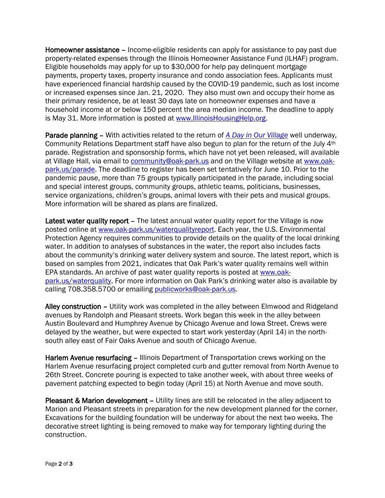Homeowner assistance – Income-eligible residents can apply for assistance to pay past due property-related expenses through the Illinois Homeowner Assistance Fund (ILHAF) program. Eligible households may apply for up to \$30,000 for help pay delinquent mortgage payments, property taxes, property insurance and condo association fees. Applicants must have experienced financial hardship caused by the COVID-19 pandemic, such as lost income or increased expenses since Jan. 21, 2020. They also must own and occupy their home as their primary residence, be at least 30 days late on homeowner expenses and have a household income at or below 150 percent the area median income. The deadline to apply is May 31. More information is posted at [www.IllinoisHousingHelp.org.](http://mxrelay.oak-park.us:32224/?dmVyPTEuMDAxJiYxZmRhOWE0YmZmMjI5YjdhOD02MjQ1RjFDRV8yNjc4NF8yMDYwXzEmJjNmYjEzODk5OGFlYTY0YT0xMjMzJiZ1cmw9aHR0cCUzQSUyRiUyRnd3dyUyRUlsbGlub2lzSG91c2luZ0hlbHAlMkVvcmc=)

Parade planning – With activities related to the return of *[A Day in Our Village](https://www.oak-park.us/our-community/special-events/day-our-village)* well underway, Community Relations Department staff have also begun to plan for the return of the July 4th parade. Registration and sponsorship forms, which have not yet been released, will available at Village Hall, via email to [community@oak-park.us](mailto:community@oak-park.us) and on the Village website at [www.oak](http://www.oak-park.us/parade)[park.us/parade.](http://www.oak-park.us/parade) The deadline to register has been set tentatively for June 10. Prior to the pandemic pause, more than 75 groups typically participated in the parade, including social and special interest groups, community groups, athletic teams, politicians, businesses, service organizations, children's groups, animal lovers with their pets and musical groups. More information will be shared as plans are finalized.

Latest water quality report - The latest annual water quality report for the Village is now posted online at [www.oak-park.us/waterqualityreport.](http://www.oak-park.us/waterqualityreport) Each year, the U.S. Environmental Protection Agency requires communities to provide details on the quality of the local drinking water. In addition to analyses of substances in the water, the report also includes facts about the community's drinking water delivery system and source. The latest report, which is based on samples from 2021, indicates that Oak Park's water quality remains well within EPA standards. An archive of past water quality reports is posted at [www.oak](http://www.oak-park.us/waterquality)[park.us/waterquality](http://www.oak-park.us/waterquality). For more information on Oak Park's drinking water also is available by calling 708.358.5700 or emailing [publicworks@oak-park.us.](mailto:publicworks@oak-park.us)

Alley construction – Utility work was completed in the alley between Elmwood and Ridgeland avenues by Randolph and Pleasant streets. Work began this week in the alley between Austin Boulevard and Humphrey Avenue by Chicago Avenue and Iowa Street. Crews were delayed by the weather, but were expected to start work yesterday (April 14) in the northsouth alley east of Fair Oaks Avenue and south of Chicago Avenue.

Harlem Avenue resurfacing – Illinois Department of Transportation crews working on the Harlem Avenue resurfacing project completed curb and gutter removal from North Avenue to 26th Street. Concrete pouring is expected to take another week, with about three weeks of pavement patching expected to begin today (April 15) at North Avenue and move south.

Pleasant & Marion development - Utility lines are still be relocated in the alley adjacent to Marion and Pleasant streets in preparation for the new development planned for the corner. Excavations for the building foundation will be underway for about the next two weeks. The decorative street lighting is being removed to make way for temporary lighting during the construction.